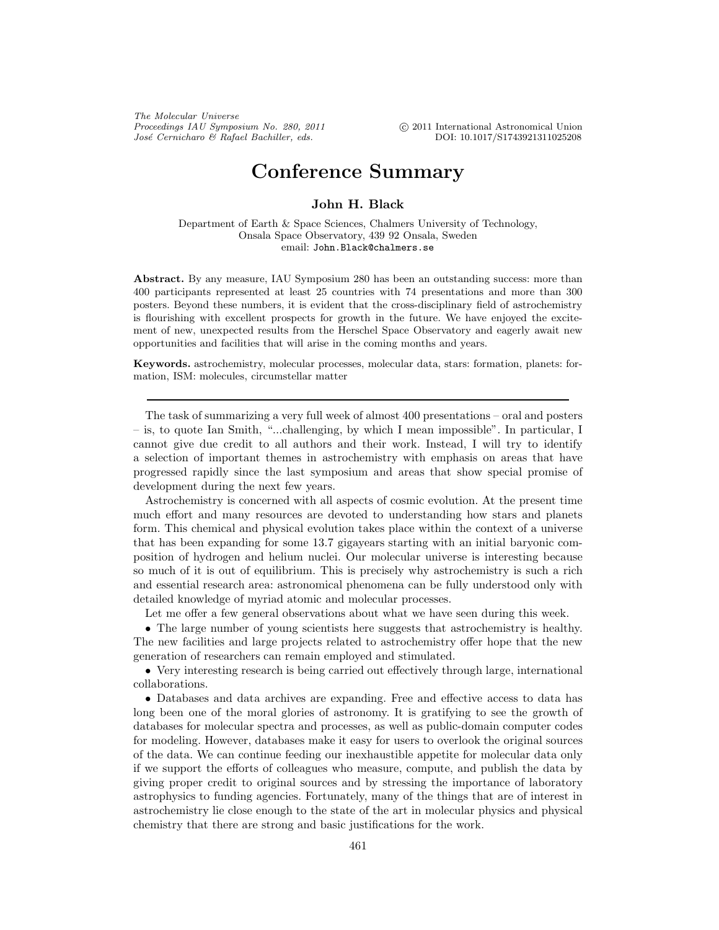The Molecular Universe Proceedings IAU Symposium No. 280, 2011 José Cernicharo & Rafael Bachiller, eds.

 c 2011 International Astronomical Union DOI: 10.1017/S1743921311025208

## Conference Summary

## John H. Black

Department of Earth & Space Sciences, Chalmers University of Technology, Onsala Space Observatory, 439 92 Onsala, Sweden email: John.Black@chalmers.se

Abstract. By any measure, IAU Symposium 280 has been an outstanding success: more than 400 participants represented at least 25 countries with 74 presentations and more than 300 posters. Beyond these numbers, it is evident that the cross-disciplinary field of astrochemistry is flourishing with excellent prospects for growth in the future. We have enjoyed the excitement of new, unexpected results from the Herschel Space Observatory and eagerly await new opportunities and facilities that will arise in the coming months and years.

Keywords. astrochemistry, molecular processes, molecular data, stars: formation, planets: formation, ISM: molecules, circumstellar matter

The task of summarizing a very full week of almost 400 presentations – oral and posters – is, to quote Ian Smith, "...challenging, by which I mean impossible". In particular, I cannot give due credit to all authors and their work. Instead, I will try to identify a selection of important themes in astrochemistry with emphasis on areas that have progressed rapidly since the last symposium and areas that show special promise of development during the next few years.

Astrochemistry is concerned with all aspects of cosmic evolution. At the present time much effort and many resources are devoted to understanding how stars and planets form. This chemical and physical evolution takes place within the context of a universe that has been expanding for some 13.7 gigayears starting with an initial baryonic composition of hydrogen and helium nuclei. Our molecular universe is interesting because so much of it is out of equilibrium. This is precisely why astrochemistry is such a rich and essential research area: astronomical phenomena can be fully understood only with detailed knowledge of myriad atomic and molecular processes.

Let me offer a few general observations about what we have seen during this week.

• The large number of young scientists here suggests that astrochemistry is healthy. The new facilities and large projects related to astrochemistry offer hope that the new generation of researchers can remain employed and stimulated.

• Very interesting research is being carried out effectively through large, international collaborations.

• Databases and data archives are expanding. Free and effective access to data has long been one of the moral glories of astronomy. It is gratifying to see the growth of databases for molecular spectra and processes, as well as public-domain computer codes for modeling. However, databases make it easy for users to overlook the original sources of the data. We can continue feeding our inexhaustible appetite for molecular data only if we support the efforts of colleagues who measure, compute, and publish the data by giving proper credit to original sources and by stressing the importance of laboratory astrophysics to funding agencies. Fortunately, many of the things that are of interest in astrochemistry lie close enough to the state of the art in molecular physics and physical chemistry that there are strong and basic justifications for the work.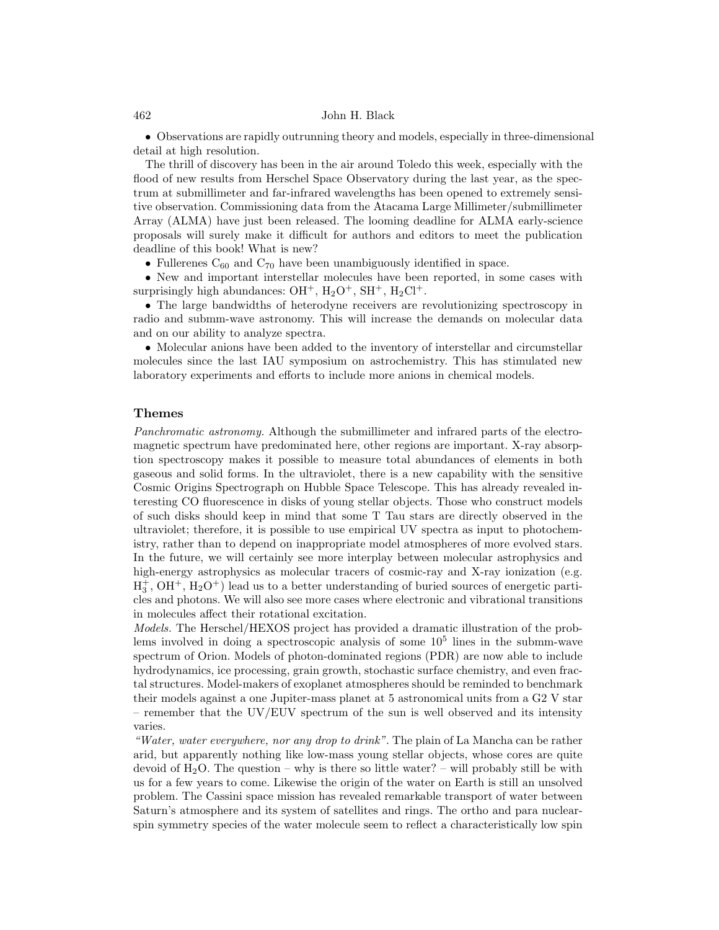• Observations are rapidly outrunning theory and models, especially in three-dimensional detail at high resolution.

The thrill of discovery has been in the air around Toledo this week, especially with the flood of new results from Herschel Space Observatory during the last year, as the spectrum at submillimeter and far-infrared wavelengths has been opened to extremely sensitive observation. Commissioning data from the Atacama Large Millimeter/submillimeter Array (ALMA) have just been released. The looming deadline for ALMA early-science proposals will surely make it difficult for authors and editors to meet the publication deadline of this book! What is new?

• Fullerenes  $C_{60}$  and  $C_{70}$  have been unambiguously identified in space.

• New and important interstellar molecules have been reported, in some cases with surprisingly high abundances:  $OH^+$ ,  $H_2O^+$ ,  $SH^+$ ,  $H_2Cl^+$ .

• The large bandwidths of heterodyne receivers are revolutionizing spectroscopy in radio and submm-wave astronomy. This will increase the demands on molecular data and on our ability to analyze spectra.

• Molecular anions have been added to the inventory of interstellar and circumstellar molecules since the last IAU symposium on astrochemistry. This has stimulated new laboratory experiments and efforts to include more anions in chemical models.

## Themes

Panchromatic astronomy. Although the submillimeter and infrared parts of the electromagnetic spectrum have predominated here, other regions are important. X-ray absorption spectroscopy makes it possible to measure total abundances of elements in both gaseous and solid forms. In the ultraviolet, there is a new capability with the sensitive Cosmic Origins Spectrograph on Hubble Space Telescope. This has already revealed interesting CO fluorescence in disks of young stellar objects. Those who construct models of such disks should keep in mind that some T Tau stars are directly observed in the ultraviolet; therefore, it is possible to use empirical UV spectra as input to photochemistry, rather than to depend on inappropriate model atmospheres of more evolved stars. In the future, we will certainly see more interplay between molecular astrophysics and high-energy astrophysics as molecular tracers of cosmic-ray and X-ray ionization (e.g.  $H_3^{\pm}$ , OH<sup>+</sup>, H<sub>2</sub>O<sup>+</sup>) lead us to a better understanding of buried sources of energetic particles and photons. We will also see more cases where electronic and vibrational transitions in molecules affect their rotational excitation.

Models. The Herschel/HEXOS project has provided a dramatic illustration of the problems involved in doing a spectroscopic analysis of some  $10<sup>5</sup>$  lines in the submm-wave spectrum of Orion. Models of photon-dominated regions (PDR) are now able to include hydrodynamics, ice processing, grain growth, stochastic surface chemistry, and even fractal structures. Model-makers of exoplanet atmospheres should be reminded to benchmark their models against a one Jupiter-mass planet at 5 astronomical units from a G2 V star – remember that the UV/EUV spectrum of the sun is well observed and its intensity varies.

"Water, water everywhere, nor any drop to drink". The plain of La Mancha can be rather arid, but apparently nothing like low-mass young stellar objects, whose cores are quite devoid of  $H_2O$ . The question – why is there so little water? – will probably still be with us for a few years to come. Likewise the origin of the water on Earth is still an unsolved problem. The Cassini space mission has revealed remarkable transport of water between Saturn's atmosphere and its system of satellites and rings. The ortho and para nuclearspin symmetry species of the water molecule seem to reflect a characteristically low spin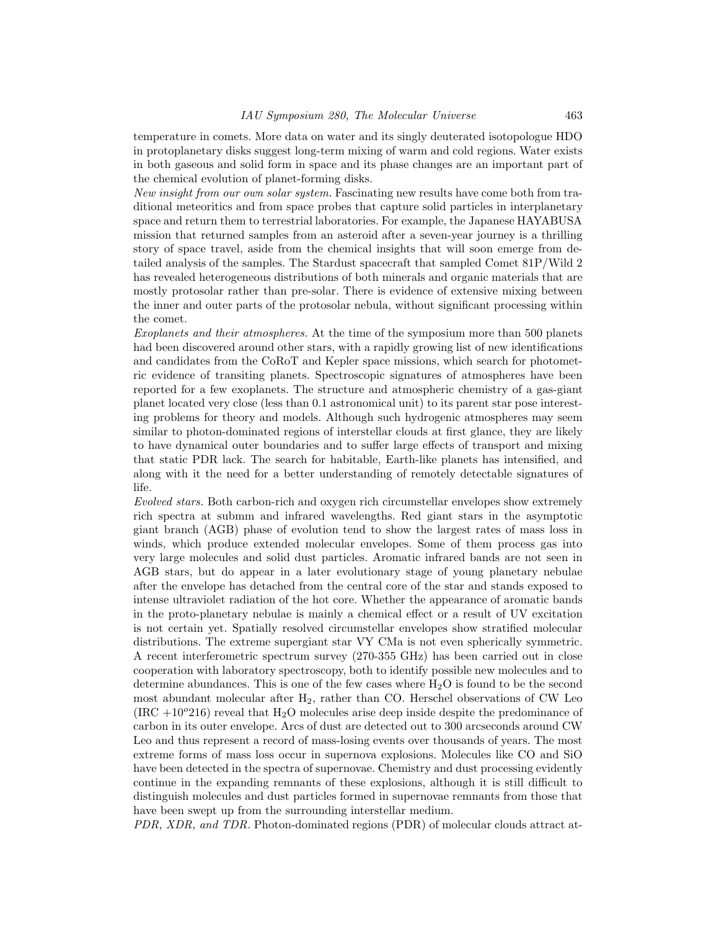temperature in comets. More data on water and its singly deuterated isotopologue HDO in protoplanetary disks suggest long-term mixing of warm and cold regions. Water exists in both gaseous and solid form in space and its phase changes are an important part of the chemical evolution of planet-forming disks.

New insight from our own solar system. Fascinating new results have come both from traditional meteoritics and from space probes that capture solid particles in interplanetary space and return them to terrestrial laboratories. For example, the Japanese HAYABUSA mission that returned samples from an asteroid after a seven-year journey is a thrilling story of space travel, aside from the chemical insights that will soon emerge from detailed analysis of the samples. The Stardust spacecraft that sampled Comet 81P/Wild 2 has revealed heterogeneous distributions of both minerals and organic materials that are mostly protosolar rather than pre-solar. There is evidence of extensive mixing between the inner and outer parts of the protosolar nebula, without significant processing within the comet.

Exoplanets and their atmospheres. At the time of the symposium more than 500 planets had been discovered around other stars, with a rapidly growing list of new identifications and candidates from the CoRoT and Kepler space missions, which search for photometric evidence of transiting planets. Spectroscopic signatures of atmospheres have been reported for a few exoplanets. The structure and atmospheric chemistry of a gas-giant planet located very close (less than 0.1 astronomical unit) to its parent star pose interesting problems for theory and models. Although such hydrogenic atmospheres may seem similar to photon-dominated regions of interstellar clouds at first glance, they are likely to have dynamical outer boundaries and to suffer large effects of transport and mixing that static PDR lack. The search for habitable, Earth-like planets has intensified, and along with it the need for a better understanding of remotely detectable signatures of life.

Evolved stars. Both carbon-rich and oxygen rich circumstellar envelopes show extremely rich spectra at submm and infrared wavelengths. Red giant stars in the asymptotic giant branch (AGB) phase of evolution tend to show the largest rates of mass loss in winds, which produce extended molecular envelopes. Some of them process gas into very large molecules and solid dust particles. Aromatic infrared bands are not seen in AGB stars, but do appear in a later evolutionary stage of young planetary nebulae after the envelope has detached from the central core of the star and stands exposed to intense ultraviolet radiation of the hot core. Whether the appearance of aromatic bands in the proto-planetary nebulae is mainly a chemical effect or a result of UV excitation is not certain yet. Spatially resolved circumstellar envelopes show stratified molecular distributions. The extreme supergiant star VY CMa is not even spherically symmetric. A recent interferometric spectrum survey (270-355 GHz) has been carried out in close cooperation with laboratory spectroscopy, both to identify possible new molecules and to determine abundances. This is one of the few cases where  $H_2O$  is found to be the second most abundant molecular after  $H_2$ , rather than CO. Herschel observations of CW Leo  $(IRC +10°216)$  reveal that  $H_2O$  molecules arise deep inside despite the predominance of carbon in its outer envelope. Arcs of dust are detected out to 300 arcseconds around CW Leo and thus represent a record of mass-losing events over thousands of years. The most extreme forms of mass loss occur in supernova explosions. Molecules like CO and SiO have been detected in the spectra of supernovae. Chemistry and dust processing evidently continue in the expanding remnants of these explosions, although it is still difficult to distinguish molecules and dust particles formed in supernovae remnants from those that have been swept up from the surrounding interstellar medium.

PDR, XDR, and TDR. Photon-dominated regions (PDR) of molecular clouds attract at-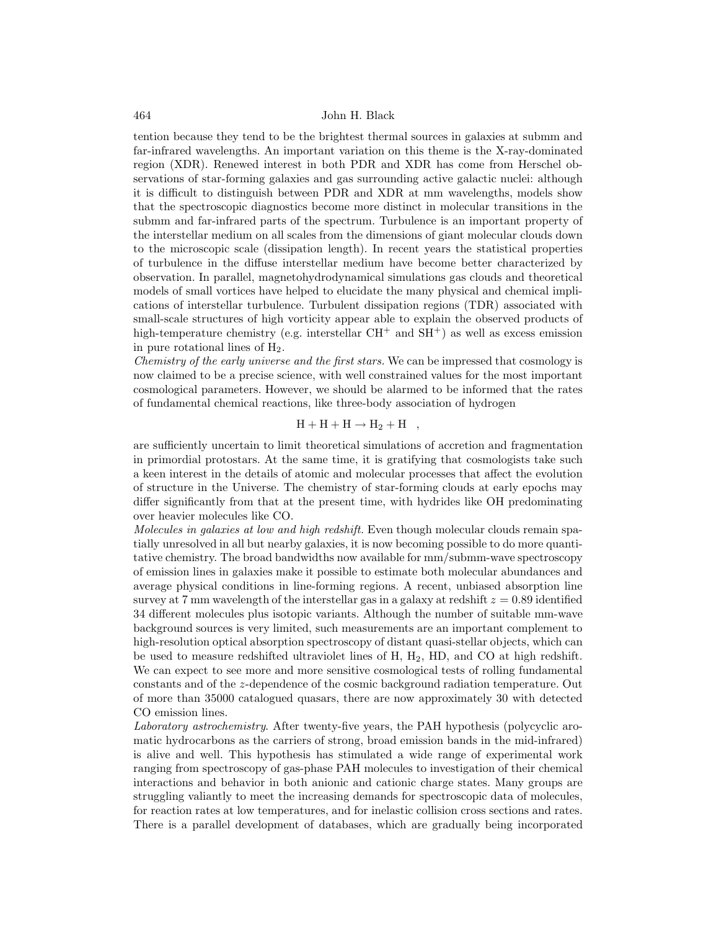tention because they tend to be the brightest thermal sources in galaxies at submm and far-infrared wavelengths. An important variation on this theme is the X-ray-dominated region (XDR). Renewed interest in both PDR and XDR has come from Herschel observations of star-forming galaxies and gas surrounding active galactic nuclei: although it is difficult to distinguish between PDR and XDR at mm wavelengths, models show that the spectroscopic diagnostics become more distinct in molecular transitions in the submm and far-infrared parts of the spectrum. Turbulence is an important property of the interstellar medium on all scales from the dimensions of giant molecular clouds down to the microscopic scale (dissipation length). In recent years the statistical properties of turbulence in the diffuse interstellar medium have become better characterized by observation. In parallel, magnetohydrodynamical simulations gas clouds and theoretical models of small vortices have helped to elucidate the many physical and chemical implications of interstellar turbulence. Turbulent dissipation regions (TDR) associated with small-scale structures of high vorticity appear able to explain the observed products of high-temperature chemistry (e.g. interstellar  $CH^+$  and  $SH^+$ ) as well as excess emission in pure rotational lines of  $H_2$ .

Chemistry of the early universe and the first stars. We can be impressed that cosmology is now claimed to be a precise science, with well constrained values for the most important cosmological parameters. However, we should be alarmed to be informed that the rates of fundamental chemical reactions, like three-body association of hydrogen

## $H + H + H \rightarrow H_2 + H$ ,

are sufficiently uncertain to limit theoretical simulations of accretion and fragmentation in primordial protostars. At the same time, it is gratifying that cosmologists take such a keen interest in the details of atomic and molecular processes that affect the evolution of structure in the Universe. The chemistry of star-forming clouds at early epochs may differ significantly from that at the present time, with hydrides like OH predominating over heavier molecules like CO.

Molecules in galaxies at low and high redshift. Even though molecular clouds remain spatially unresolved in all but nearby galaxies, it is now becoming possible to do more quantitative chemistry. The broad bandwidths now available for mm/submm-wave spectroscopy of emission lines in galaxies make it possible to estimate both molecular abundances and average physical conditions in line-forming regions. A recent, unbiased absorption line survey at 7 mm wavelength of the interstellar gas in a galaxy at redshift  $z = 0.89$  identified 34 different molecules plus isotopic variants. Although the number of suitable mm-wave background sources is very limited, such measurements are an important complement to high-resolution optical absorption spectroscopy of distant quasi-stellar objects, which can be used to measure redshifted ultraviolet lines of  $H$ ,  $H_2$ ,  $HD$ , and  $CO$  at high redshift. We can expect to see more and more sensitive cosmological tests of rolling fundamental constants and of the z-dependence of the cosmic background radiation temperature. Out of more than 35000 catalogued quasars, there are now approximately 30 with detected CO emission lines.

Laboratory astrochemistry. After twenty-five years, the PAH hypothesis (polycyclic aromatic hydrocarbons as the carriers of strong, broad emission bands in the mid-infrared) is alive and well. This hypothesis has stimulated a wide range of experimental work ranging from spectroscopy of gas-phase PAH molecules to investigation of their chemical interactions and behavior in both anionic and cationic charge states. Many groups are struggling valiantly to meet the increasing demands for spectroscopic data of molecules, for reaction rates at low temperatures, and for inelastic collision cross sections and rates. There is a parallel development of databases, which are gradually being incorporated